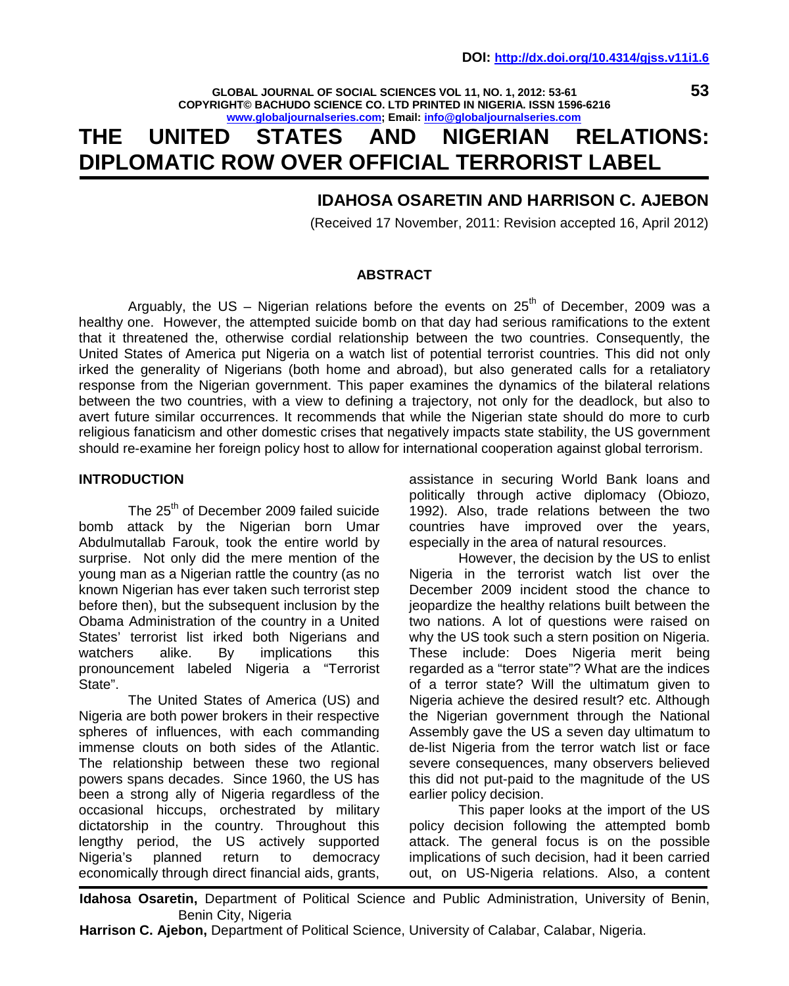**GLOBAL JOURNAL OF SOCIAL SCIENCES VOL 11, NO. 1, 2012: 53-61 COPYRIGHT© BACHUDO SCIENCE CO. LTD PRINTED IN NIGERIA. ISSN 1596-6216 www.globaljournalseries.com; Email: info@globaljournalseries.com**

# **THE UNITED STATES AND NIGERIAN RELATIONS: DIPLOMATIC ROW OVER OFFICIAL TERRORIST LABEL**

## **IDAHOSA OSARETIN AND HARRISON C. AJEBON**

(Received 17 November, 2011: Revision accepted 16, April 2012)

#### **ABSTRACT**

Arguably, the US – Nigerian relations before the events on  $25<sup>th</sup>$  of December, 2009 was a healthy one. However, the attempted suicide bomb on that day had serious ramifications to the extent that it threatened the, otherwise cordial relationship between the two countries. Consequently, the United States of America put Nigeria on a watch list of potential terrorist countries. This did not only irked the generality of Nigerians (both home and abroad), but also generated calls for a retaliatory response from the Nigerian government. This paper examines the dynamics of the bilateral relations between the two countries, with a view to defining a trajectory, not only for the deadlock, but also to avert future similar occurrences. It recommends that while the Nigerian state should do more to curb religious fanaticism and other domestic crises that negatively impacts state stability, the US government should re-examine her foreign policy host to allow for international cooperation against global terrorism.

#### **INTRODUCTION**

The 25<sup>th</sup> of December 2009 failed suicide bomb attack by the Nigerian born Umar Abdulmutallab Farouk, took the entire world by surprise. Not only did the mere mention of the young man as a Nigerian rattle the country (as no known Nigerian has ever taken such terrorist step before then), but the subsequent inclusion by the Obama Administration of the country in a United States' terrorist list irked both Nigerians and<br>watchers alike. By implications this watchers alike. By implications pronouncement labeled Nigeria a "Terrorist State".

The United States of America (US) and Nigeria are both power brokers in their respective spheres of influences, with each commanding immense clouts on both sides of the Atlantic. The relationship between these two regional powers spans decades. Since 1960, the US has been a strong ally of Nigeria regardless of the occasional hiccups, orchestrated by military dictatorship in the country. Throughout this lengthy period, the US actively supported Nigeria's planned return to democracy economically through direct financial aids, grants,

assistance in securing World Bank loans and politically through active diplomacy (Obiozo, 1992). Also, trade relations between the two countries have improved over the years, especially in the area of natural resources.

However, the decision by the US to enlist Nigeria in the terrorist watch list over the December 2009 incident stood the chance to jeopardize the healthy relations built between the two nations. A lot of questions were raised on why the US took such a stern position on Nigeria. These include: Does Nigeria merit being regarded as a "terror state"? What are the indices of a terror state? Will the ultimatum given to Nigeria achieve the desired result? etc. Although the Nigerian government through the National Assembly gave the US a seven day ultimatum to de-list Nigeria from the terror watch list or face severe consequences, many observers believed this did not put-paid to the magnitude of the US earlier policy decision.

This paper looks at the import of the US policy decision following the attempted bomb attack. The general focus is on the possible implications of such decision, had it been carried out, on US-Nigeria relations. Also, a content

**Idahosa Osaretin,** Department of Political Science and Public Administration, University of Benin, Benin City, Nigeria

**Harrison C. Ajebon,** Department of Political Science, University of Calabar, Calabar, Nigeria.

**53**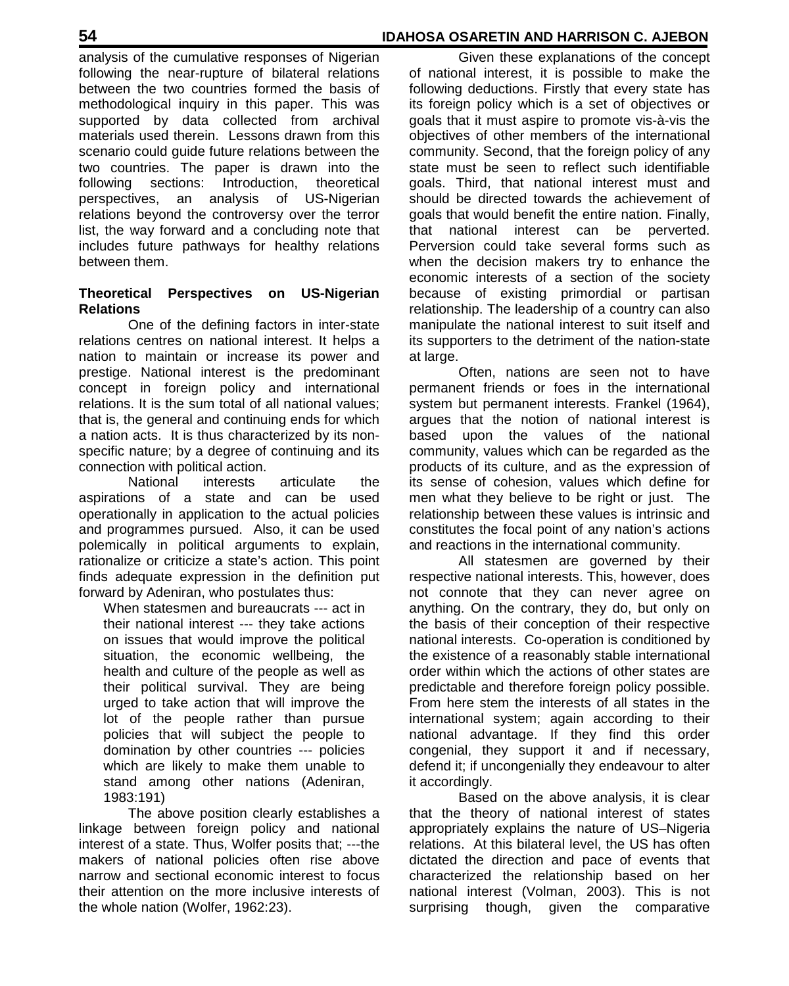analysis of the cumulative responses of Nigerian following the near-rupture of bilateral relations between the two countries formed the basis of methodological inquiry in this paper. This was supported by data collected from archival materials used therein. Lessons drawn from this scenario could guide future relations between the two countries. The paper is drawn into the following sections: Introduction, theoretical perspectives, an analysis of US-Nigerian relations beyond the controversy over the terror list, the way forward and a concluding note that includes future pathways for healthy relations between them.

## **Theoretical Perspectives on US-Nigerian Relations**

One of the defining factors in inter-state relations centres on national interest. It helps a nation to maintain or increase its power and prestige. National interest is the predominant concept in foreign policy and international relations. It is the sum total of all national values; that is, the general and continuing ends for which a nation acts. It is thus characterized by its non specific nature; by a degree of continuing and its connection with political action.

National interests articulate the aspirations of a state and can be used operationally in application to the actual policies and programmes pursued. Also, it can be used polemically in political arguments to explain, rationalize or criticize a state's action. This point finds adequate expression in the definition put forward by Adeniran, who postulates thus:

When statesmen and bureaucrats --- act in their national interest --- they take actions on issues that would improve the political situation, the economic wellbeing, the health and culture of the people as well as their political survival. They are being urged to take action that will improve the lot of the people rather than pursue policies that will subject the people to domination by other countries --- policies which are likely to make them unable to stand among other nations (Adeniran, 1983:191)

The above position clearly establishes a linkage between foreign policy and national interest of a state. Thus, Wolfer posits that; ---the makers of national policies often rise above narrow and sectional economic interest to focus their attention on the more inclusive interests of the whole nation (Wolfer, 1962:23).

Given these explanations of the concept of national interest, it is possible to make the following deductions. Firstly that every state has its foreign policy which is a set of objectives or goals that it must aspire to promote vis-à-vis the objectives of other members of the international community. Second, that the foreign policy of any state must be seen to reflect such identifiable goals. Third, that national interest must and should be directed towards the achievement of goals that would benefit the entire nation. Finally, that national interest can be perverted. Perversion could take several forms such as when the decision makers try to enhance the economic interests of a section of the society because of existing primordial or partisan relationship. The leadership of a country can also manipulate the national interest to suit itself and its supporters to the detriment of the nation-state at large.

Often, nations are seen not to have permanent friends or foes in the international system but permanent interests. Frankel (1964), argues that the notion of national interest is based upon the values of the national community, values which can be regarded as the products of its culture, and as the expression of its sense of cohesion, values which define for men what they believe to be right or just. The relationship between these values is intrinsic and constitutes the focal point of any nation's actions and reactions in the international community.

All statesmen are governed by their respective national interests. This, however, does not connote that they can never agree on anything. On the contrary, they do, but only on the basis of their conception of their respective national interests. Co-operation is conditioned by the existence of a reasonably stable international order within which the actions of other states are predictable and therefore foreign policy possible. From here stem the interests of all states in the international system; again according to their national advantage. If they find this order congenial, they support it and if necessary, defend it; if uncongenially they endeavour to alter it accordingly.

Based on the above analysis, it is clear that the theory of national interest of states appropriately explains the nature of US–Nigeria relations. At this bilateral level, the US has often dictated the direction and pace of events that characterized the relationship based on her national interest (Volman, 2003). This is not surprising though, given the comparative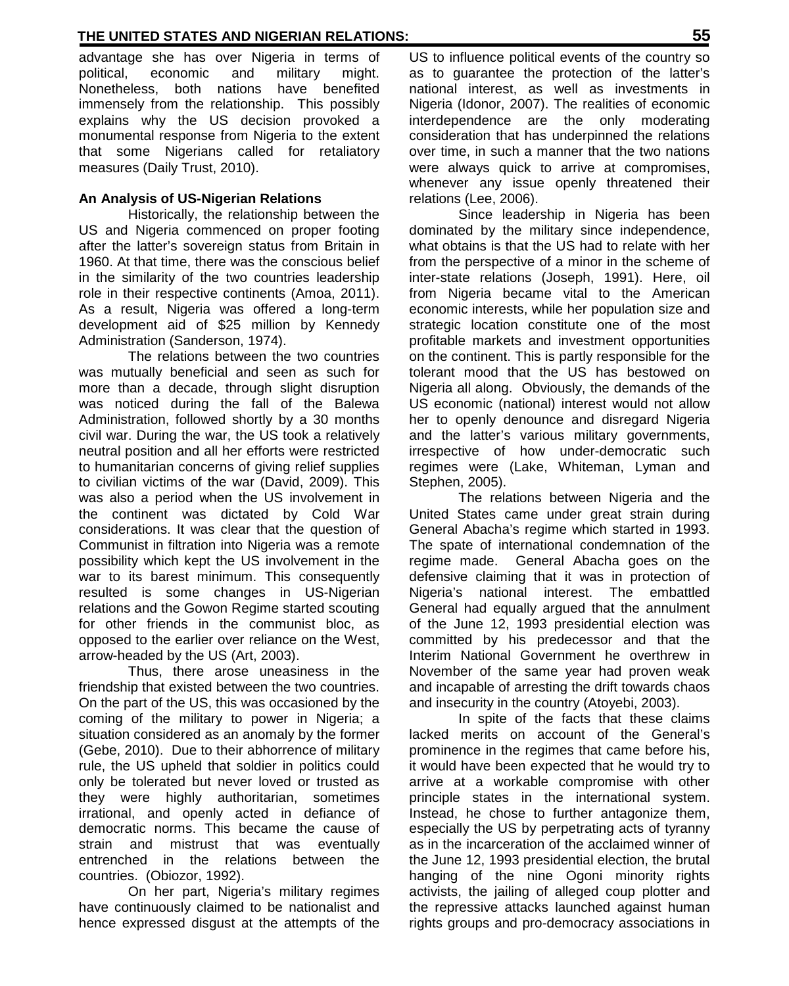advantage she has over Nigeria in terms of political, economic and military might. Nonetheless, both nations have benefited immensely from the relationship. This possibly explains why the US decision provoked a monumental response from Nigeria to the extent that some Nigerians called for retaliatory measures (Daily Trust, 2010).

## **An Analysis of US-Nigerian Relations**

Historically, the relationship between the US and Nigeria commenced on proper footing after the latter's sovereign status from Britain in 1960. At that time, there was the conscious belief in the similarity of the two countries leadership role in their respective continents (Amoa, 2011). As a result, Nigeria was offered a long-term development aid of \$25 million by Kennedy Administration (Sanderson, 1974).

The relations between the two countries was mutually beneficial and seen as such for more than a decade, through slight disruption was noticed during the fall of the Balewa Administration, followed shortly by a 30 months civil war. During the war, the US took a relatively neutral position and all her efforts were restricted to humanitarian concerns of giving relief supplies to civilian victims of the war (David, 2009). This was also a period when the US involvement in the continent was dictated by Cold War considerations. It was clear that the question of Communist in filtration into Nigeria was a remote possibility which kept the US involvement in the war to its barest minimum. This consequently resulted is some changes in US-Nigerian relations and the Gowon Regime started scouting for other friends in the communist bloc, as opposed to the earlier over reliance on the West, arrow-headed by the US (Art, 2003).

Thus, there arose uneasiness in the friendship that existed between the two countries. On the part of the US, this was occasioned by the coming of the military to power in Nigeria; a situation considered as an anomaly by the former (Gebe, 2010). Due to their abhorrence of military rule, the US upheld that soldier in politics could only be tolerated but never loved or trusted as they were highly authoritarian, sometimes irrational, and openly acted in defiance of democratic norms. This became the cause of strain and mistrust that was eventually entrenched in the relations between the countries. (Obiozor, 1992).

On her part, Nigeria's military regimes have continuously claimed to be nationalist and hence expressed disgust at the attempts of the

US to influence political events of the country so as to guarantee the protection of the latter's national interest, as well as investments in Nigeria (Idonor, 2007). The realities of economic interdependence are the only moderating consideration that has underpinned the relations over time, in such a manner that the two nations were always quick to arrive at compromises, whenever any issue openly threatened their relations (Lee, 2006).

Since leadership in Nigeria has been dominated by the military since independence, what obtains is that the US had to relate with her from the perspective of a minor in the scheme of inter-state relations (Joseph, 1991). Here, oil from Nigeria became vital to the American economic interests, while her population size and strategic location constitute one of the most profitable markets and investment opportunities on the continent. This is partly responsible for the tolerant mood that the US has bestowed on Nigeria all along. Obviously, the demands of the US economic (national) interest would not allow her to openly denounce and disregard Nigeria and the latter's various military governments, irrespective of how under-democratic such regimes were (Lake, Whiteman, Lyman and Stephen, 2005).

The relations between Nigeria and the United States came under great strain during General Abacha's regime which started in 1993. The spate of international condemnation of the regime made. General Abacha goes on the defensive claiming that it was in protection of Nigeria's national interest. The embattled General had equally argued that the annulment of the June 12, 1993 presidential election was committed by his predecessor and that the Interim National Government he overthrew in November of the same year had proven weak and incapable of arresting the drift towards chaos and insecurity in the country (Atoyebi, 2003).

In spite of the facts that these claims lacked merits on account of the General's prominence in the regimes that came before his, it would have been expected that he would try to arrive at a workable compromise with other principle states in the international system. Instead, he chose to further antagonize them, especially the US by perpetrating acts of tyranny as in the incarceration of the acclaimed winner of the June 12, 1993 presidential election, the brutal hanging of the nine Ogoni minority rights activists, the jailing of alleged coup plotter and the repressive attacks launched against human rights groups and pro-democracy associations in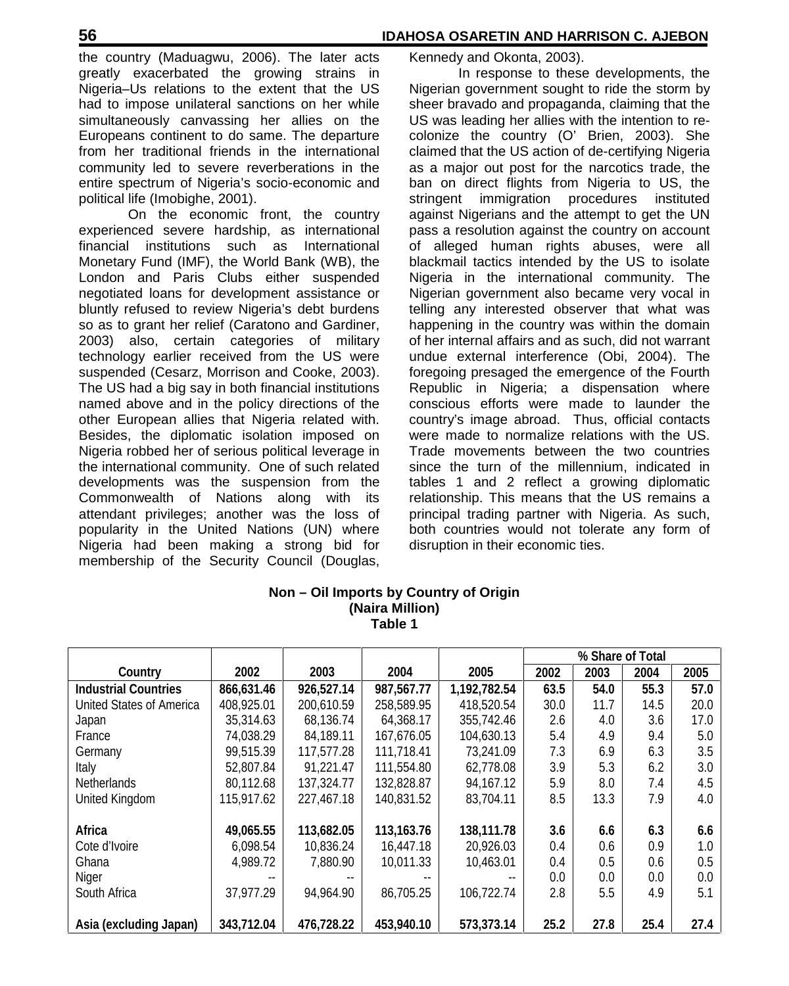the country (Maduagwu, 2006). The later acts greatly exacerbated the growing strains in Nigeria–Us relations to the extent that the US had to impose unilateral sanctions on her while simultaneously canvassing her allies on the US was leading her allies with the intention to re-Europeans continent to do same. The departure from her traditional friends in the international community led to severe reverberations in the entire spectrum of Nigeria's socio-economic and political life (Imobighe, 2001).

On the economic front, the country experienced severe hardship, as international financial institutions such as International Monetary Fund (IMF), the World Bank (WB), the London and Paris Clubs either suspended negotiated loans for development assistance or bluntly refused to review Nigeria's debt burdens so as to grant her relief (Caratono and Gardiner, 2003) also, certain categories of military technology earlier received from the US were suspended (Cesarz, Morrison and Cooke, 2003). The US had a big say in both financial institutions named above and in the policy directions of the other European allies that Nigeria related with. Besides, the diplomatic isolation imposed on Nigeria robbed her of serious political leverage in the international community. One of such related developments was the suspension from the Commonwealth of Nations along with its attendant privileges; another was the loss of popularity in the United Nations (UN) where Nigeria had been making a strong bid for membership of the Security Council (Douglas,

Kennedy and Okonta, 2003).

In response to these developments, the Nigerian government sought to ride the storm by sheer bravado and propaganda, claiming that the colonize the country  $(O'$  Brien, 2003). She claimed that the US action of de-certifying Nigeria as a major out post for the narcotics trade, the ban on direct flights from Nigeria to US, the stringent immigration procedures instituted against Nigerians and the attempt to get the UN pass a resolution against the country on account of alleged human rights abuses, were all blackmail tactics intended by the US to isolate Nigeria in the international community. The Nigerian government also became very vocal in telling any interested observer that what was happening in the country was within the domain of her internal affairs and as such, did not warrant undue external interference (Obi, 2004). The foregoing presaged the emergence of the Fourth Republic in Nigeria; a dispensation where conscious efforts were made to launder the country's image abroad. Thus, official contacts were made to normalize relations with the US. Trade movements between the two countries since the turn of the millennium, indicated in tables 1 and 2 reflect a growing diplomatic relationship. This means that the US remains a principal trading partner with Nigeria. As such, both countries would not tolerate any form of disruption in their economic ties.

|                             |            |            | ⊺able 1      |              |                  |      |      |      |  |
|-----------------------------|------------|------------|--------------|--------------|------------------|------|------|------|--|
|                             |            |            |              |              | % Share of Total |      |      |      |  |
| Country                     | 2002       | 2003       | 2004         | 2005         | 2002             | 2003 | 2004 | 2005 |  |
| <b>Industrial Countries</b> | 866,631.46 | 926,527.14 | 987,567.77   | 1,192,782.54 | 63.5             | 54.0 | 55.3 | 57.0 |  |
| United States of America    | 408,925.01 | 200,610.59 | 258,589.95   | 418,520.54   | 30.0             | 11.7 | 14.5 | 20.0 |  |
| Japan                       | 35,314.63  | 68,136.74  | 64.368.17    | 355,742.46   | 26               | 4.0  | 3.6  | 17.0 |  |
| France                      | 74,038.29  | 84,189.11  | 167,676.05   | 104,630.13   | 5.4              | 4.9  | 9.4  | 5.0  |  |
| Germany                     | 99,515.39  | 117,577.28 | 111,718.41   | 73,241.09    | 7.3              | 6.9  | 6.3  | 3.5  |  |
| Italy                       | 52,807.84  | 91.221.47  | 111,554.80   | 62,778,08    | 3.9              | 5.3  | 6.2  | 3.0  |  |
| <b>Netherlands</b>          | 80.112.68  | 137,324.77 | 132,828.87   | 94.167.12    | 5.9              | 8.0  | 7.4  | 4.5  |  |
| United Kingdom              | 115,917.62 | 227.467.18 | 140,831.52   | 83.704.11    | 8.5              | 13.3 | 7.9  | 4.0  |  |
| <b>Africa</b>               | 49,065.55  | 113,682.05 | 113, 163. 76 | 138,111.78   | 3.6              | 6.6  | 6.3  | 6.6  |  |
| Cote d'Ivoire               | 6,098.54   | 10,836.24  | 16,447.18    | 20,926.03    | 0.4              | 0.6  | 0.9  | 1.0  |  |
| Ghana                       | 4.989.72   | 7.880.90   | 10,011.33    | 10.463.01    | 0.4              | 0.5  | 0.6  | 0.5  |  |
| Niger                       |            |            |              |              | 0.0              | 0.0  | 0.0  | 0.0  |  |
| South Africa                | 37,977.29  | 94,964.90  | 86,705.25    | 106,722.74   | 2.8              | 5.5  | 4.9  | 5.1  |  |
| Asia (excluding Japan)      | 343,712.04 | 476,728.22 | 453,940.10   | 573,373.14   | 25.2             | 27.8 | 25.4 | 27.4 |  |

## **Non – Oil Imports by Country of Origin (Naira Million) Table 1**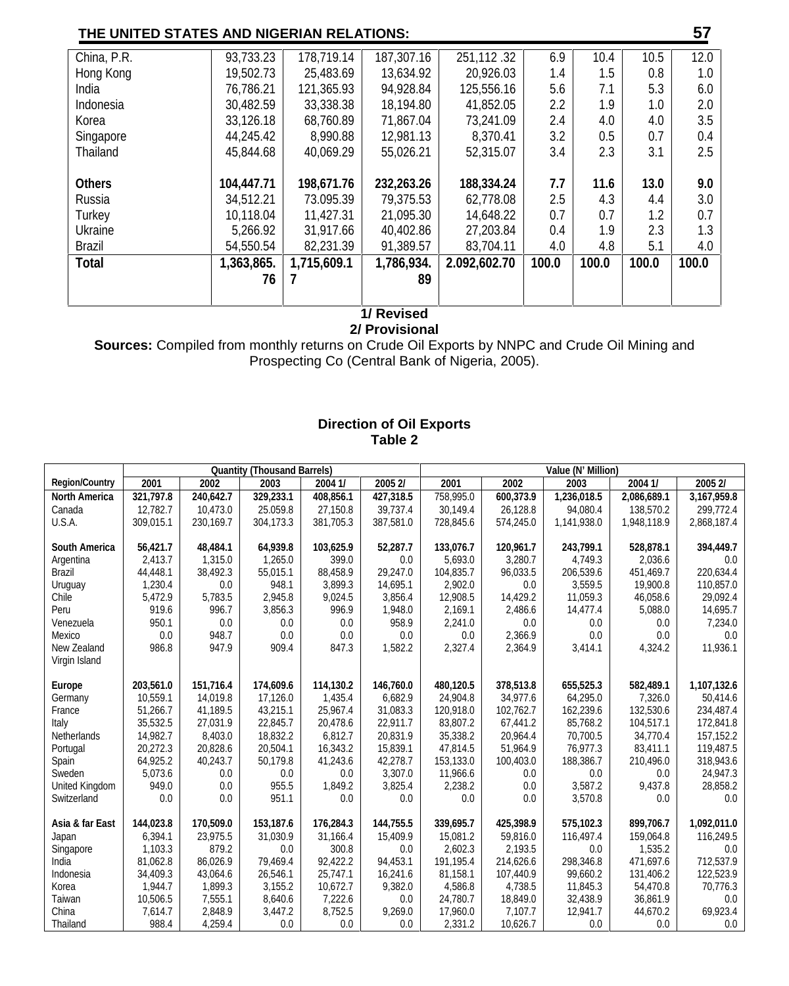| China, P.R.   | 93,733.23  | 178,719.14  | 187,307.16 | 251, 112.32  | 6.9   | 10.4    | 10.5  | 12.0  |
|---------------|------------|-------------|------------|--------------|-------|---------|-------|-------|
| Hong Kong     | 19.502.73  | 25,483,69   | 13.634.92  | 20,926,03    | 1.4   | $1.5\,$ | 0.8   | 1.0   |
| India         | 76.786.21  | 121.365.93  | 94,928.84  | 125,556,16   | 5.6   | 7.1     | 5.3   | 6.0   |
| Indonesia     | 30,482.59  | 33,338.38   | 18,194.80  | 41,852.05    | 2.2   | 1.9     | 1.0   | 2.0   |
| Korea         | 33, 126.18 | 68,760.89   | 71,867.04  | 73,241.09    | 2.4   | 4.0     | 4.0   | 3.5   |
| Singapore     | 44.245.42  | 8.990.88    | 12.981.13  | 8.370.41     | 3.2   | 0.5     | 0.7   | 0.4   |
| Thailand      | 45.844.68  | 40.069.29   | 55.026.21  | 52,315,07    | 3.4   | 2.3     | 3.1   | 25    |
|               |            |             |            |              |       |         |       |       |
| <b>Others</b> | 104,447.71 | 198,671.76  | 232,263.26 | 188,334.24   | 7.7   | 11.6    | 13.0  | 9.0   |
| Russia        | 34.512.21  | 73,095,39   | 79,375.53  | 62.778.08    | 2.5   | 4.3     | 4.4   | 3.0   |
| <b>Turkey</b> | 10,118.04  | 11,427.31   | 21,095.30  | 14,648.22    | 0.7   | 0.7     | 1.2   | 0.7   |
| Ukraine       | 5,266.92   | 31,917.66   | 40,402.86  | 27,203,84    | 0.4   | 1.9     | 23    | 1.3   |
| <b>Brazil</b> | 54,550,54  | 82.231.39   | 91,389.57  | 83.704.11    | 4.0   | 4.8     | 5.1   | 4.0   |
| <b>Total</b>  | 1,363,865. | 1,715,609.1 | 1,786,934. | 2.092,602.70 | 100.0 | 100.0   | 100.0 | 100.0 |
|               | 76         | 7           | 89         |              |       |         |       |       |
|               |            |             |            |              |       |         |       |       |
|               |            |             |            |              |       |         |       |       |

# **1/ Revised**

**2/ Provisional Sources:** Compiled from monthly returns on Crude Oil Exports by NNPC and Crude Oil Mining and Prospecting Co (Central Bank of Nigeria, 2005).

## **Direction of Oil Exports Table 2**

|                       | <b>Quantity (Thousand Barrels)</b> |            |           |           |           | Value (N' Million) |           |             |             |             |  |
|-----------------------|------------------------------------|------------|-----------|-----------|-----------|--------------------|-----------|-------------|-------------|-------------|--|
| <b>Region/Country</b> | 2001                               | 2002       | 2003      | 20041/    | 20052/    | 2001               | 2002      | 2003        | 20041/      | 20052/      |  |
| <b>North America</b>  | 321,797.8                          | 240,642.7  | 329,233.1 | 408,856.1 | 427,318.5 | 758,995.0          | 600,373.9 | 1,236,018.5 | 2,086,689.1 | 3,167,959.8 |  |
| Canada                | 12,782.7                           | 10,473.0   | 25.059.8  | 27,150.8  | 39,737.4  | 30,149.4           | 26,128.8  | 94,080.4    | 138,570.2   | 299,772.4   |  |
| U.S.A.                | 309,015.1                          | 230, 169.7 | 304,173.3 | 381,705.3 | 387,581.0 | 728,845.6          | 574,245.0 | 1,141,938.0 | 1,948,118.9 | 2,868,187.4 |  |
|                       |                                    |            |           |           |           |                    |           |             |             |             |  |
| South America         | 56.421.7                           | 48.484.1   | 64.939.8  | 103.625.9 | 52,287.7  | 133,076.7          | 120,961.7 | 243.799.1   | 528,878.1   | 394,449.7   |  |
| Argentina             | 2,413.7                            | 1,315.0    | 1,265.0   | 399.0     | 0.0       | 5,693.0            | 3,280.7   | 4,749.3     | 2,036.6     | 0.0         |  |
| <b>Brazil</b>         | 44,448.1                           | 38,492.3   | 55,015.1  | 88,458.9  | 29,247.0  | 104,835.7          | 96,033.5  | 206,539.6   | 451,469.7   | 220,634.4   |  |
| Uruguay               | 1,230.4                            | 0.0        | 948.1     | 3,899.3   | 14,695.1  | 2,902.0            | 0.0       | 3,559.5     | 19,900.8    | 110,857.0   |  |
| Chile                 | 5,472.9                            | 5,783.5    | 2,945.8   | 9,024.5   | 3,856.4   | 12,908.5           | 14,429.2  | 11,059.3    | 46,058.6    | 29,092.4    |  |
| Peru                  | 919.6                              | 996.7      | 3,856.3   | 996.9     | 1,948.0   | 2.169.1            | 2,486.6   | 14,477.4    | 5,088.0     | 14,695.7    |  |
| Venezuela             | 950.1                              | 0.0        | 0.0       | 0.0       | 958.9     | 2,241.0            | 0.0       | 0.0         | 0.0         | 7,234.0     |  |
| Mexico                | 0.0                                | 948.7      | 0.0       | 0.0       | 0.0       | 0.0                | 2,366.9   | 0.0         | 0.0         | 0.0         |  |
| New Zealand           | 986.8                              | 947.9      | 909.4     | 847.3     | 1,582.2   | 2,327.4            | 2,364.9   | 3,414.1     | 4,324.2     | 11,936.1    |  |
| Virgin Island         |                                    |            |           |           |           |                    |           |             |             |             |  |
| Europe                | 203,561.0                          | 151,716.4  | 174,609.6 | 114,130.2 | 146,760.0 | 480,120.5          | 378,513.8 | 655,525.3   | 582.489.1   | 1,107,132.6 |  |
| Germany               | 10.559.1                           | 14.019.8   | 17.126.0  | 1.435.4   | 6.682.9   | 24.904.8           | 34.977.6  | 64.295.0    | 7.326.0     | 50.414.6    |  |
| France                | 51,266.7                           | 41,189.5   | 43,215.1  | 25,967.4  | 31,083.3  | 120.918.0          | 102,762.7 | 162,239.6   | 132.530.6   | 234,487.4   |  |
| Italy                 | 35,532.5                           | 27,031.9   | 22,845.7  | 20,478.6  | 22,911.7  | 83,807.2           | 67,441.2  | 85,768.2    | 104,517.1   | 172,841.8   |  |
| <b>Netherlands</b>    | 14,982.7                           | 8,403.0    | 18,832.2  | 6,812.7   | 20,831.9  | 35.338.2           | 20,964.4  | 70,700.5    | 34.770.4    | 157, 152.2  |  |
| Portugal              | 20.272.3                           | 20,828.6   | 20,504.1  | 16,343.2  | 15,839.1  | 47.814.5           | 51,964.9  | 76,977.3    | 83,411.1    | 119,487.5   |  |
| Spain                 | 64.925.2                           | 40,243.7   | 50,179.8  | 41,243.6  | 42,278.7  | 153.133.0          | 100,403.0 | 188,386.7   | 210,496.0   | 318,943.6   |  |
| Sweden                | 5,073.6                            | 0.0        | 0.0       | 0.0       | 3,307.0   | 11,966.6           | 0.0       | 0.0         | 0.0         | 24,947.3    |  |
| United Kingdom        | 949.0                              | 0.0        | 955.5     | 1,849.2   | 3,825.4   | 2,238.2            | 0.0       | 3,587.2     | 9,437.8     | 28,858.2    |  |
| Switzerland           | 0.0                                | 0.0        | 951.1     | 0.0       | 0.0       | 0.0                | 0.0       | 3,570.8     | 0.0         | 0.0         |  |
| Asia & far East       | 144.023.8                          | 170,509.0  | 153,187.6 | 176.284.3 | 144.755.5 | 339,695.7          | 425,398.9 | 575.102.3   | 899.706.7   | 1,092,011.0 |  |
| Japan                 | 6,394.1                            | 23,975.5   | 31,030.9  | 31,166.4  | 15,409.9  | 15,081.2           | 59,816.0  | 116,497.4   | 159,064.8   | 116,249.5   |  |
| Singapore             | 1,103.3                            | 879.2      | 0.0       | 300.8     | 0.0       | 2,602.3            | 2,193.5   | 0.0         | 1,535.2     | 0.0         |  |
| India                 | 81,062.8                           | 86,026.9   | 79,469.4  | 92.422.2  | 94,453.1  | 191, 195.4         | 214,626.6 | 298,346.8   | 471.697.6   | 712,537.9   |  |
| Indonesia             | 34,409.3                           | 43,064.6   | 26,546.1  | 25,747.1  | 16,241.6  | 81,158.1           | 107,440.9 | 99,660.2    | 131,406.2   | 122,523.9   |  |
| Korea                 | 1,944.7                            | 1.899.3    | 3,155.2   | 10,672.7  | 9,382.0   | 4,586.8            | 4,738.5   | 11,845.3    | 54.470.8    | 70,776.3    |  |
| Taiwan                | 10,506.5                           | 7,555.1    | 8,640.6   | 7,222.6   | 0.0       | 24,780.7           | 18,849.0  | 32,438.9    | 36,861.9    | 0.0         |  |
| China                 | 7.614.7                            | 2,848.9    | 3,447.2   | 8,752.5   | 9,269.0   | 17,960.0           | 7,107.7   | 12,941.7    | 44,670.2    | 69,923.4    |  |
| Thailand              | 988.4                              | 4,259.4    | 0.0       | 0.0       | 0.0       | 2,331.2            | 10,626.7  | 0.0         | 0.0         | 0.0         |  |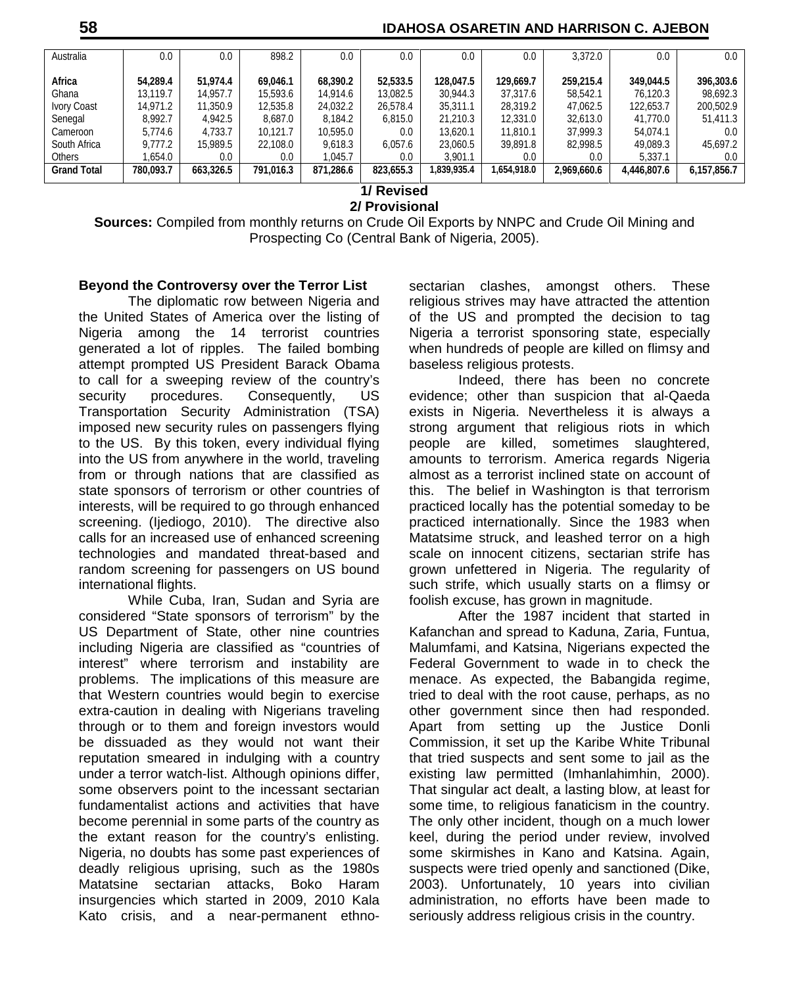## **58 IDAHOSA OSARETIN AND HARRISON C. AJEBON**

| Africa             | 54.289.4  | 51.974.4  |           |           |           |             |             |             |             |             |
|--------------------|-----------|-----------|-----------|-----------|-----------|-------------|-------------|-------------|-------------|-------------|
|                    |           |           |           |           |           |             |             |             |             |             |
|                    |           |           | 69.046.1  | 68.390.2  | 52,533.5  | 128,047.5   | 129,669.7   | 259.215.4   | 349,044.5   | 396,303.6   |
| Ghana              | 13.119.7  | 14.957.7  | 15,593.6  | 14.914.6  | 13,082.5  | 30,944.3    | 37,317.6    | 58,542.1    | 76,120.3    | 98,692.3    |
| <b>Ivory Coast</b> | 14.971.2  | 11,350.9  | 12,535.8  | 24.032.2  | 26.578.4  | 35,311.1    | 28,319.2    | 47,062.5    | 122,653.7   | 200,502.9   |
| Senegal            | 8,992.7   | 4,942.5   | 8,687.0   | 8.184.2   | 6.815.0   | 21.210.3    | 12,331.0    | 32,613.0    | 41.770.0    | 51,411.3    |
| Cameroon           | 5.774.6   | 4,733.7   | 10.121.7  | 10,595.0  | 0.0       | 13,620.1    | 11,810.1    | 37,999.3    | 54,074.1    | 0.0         |
| South Africa       | 9.777.2   | 15.989.5  | 22,108.0  | 9.618.3   | 6.057.6   | 23,060.5    | 39,891.8    | 82,998.5    | 49,089.3    | 45,697.2    |
| <b>Others</b>      | 1.654.0   | 0.0       | 0.0       | 1,045.7   | 0.0       | 3,901.1     | 0.0         | $0.0\,$     | 5.337.1     | 0.0         |
| <b>Grand Total</b> | 780,093.7 | 663,326.5 | 791.016.3 | 871.286.6 | 823,655.3 | 1,839,935.4 | 1,654,918.0 | 2.969,660.6 | 4.446.807.6 | 6,157,856.7 |
| 1/ Revised         |           |           |           |           |           |             |             |             |             |             |

## **2/ Provisional**

**Sources:** Compiled from monthly returns on Crude Oil Exports by NNPC and Crude Oil Mining and Prospecting Co (Central Bank of Nigeria, 2005).

#### **Beyond the Controversy over the Terror List**

The diplomatic row between Nigeria and the United States of America over the listing of Nigeria among the 14 terrorist countries generated a lot of ripples. The failed bombing attempt prompted US President Barack Obama to call for a sweeping review of the country's security procedures. Consequently, US Transportation Security Administration (TSA) imposed new security rules on passengers flying to the US. By this token, every individual flying into the US from anywhere in the world, traveling from or through nations that are classified as state sponsors of terrorism or other countries of interests, will be required to go through enhanced screening. (Ijediogo, 2010). The directive also calls for an increased use of enhanced screening technologies and mandated threat-based and random screening for passengers on US bound international flights.

While Cuba, Iran, Sudan and Syria are considered "State sponsors of terrorism" by the US Department of State, other nine countries including Nigeria are classified as "countries of interest" where terrorism and instability are problems. The implications of this measure are that Western countries would begin to exercise extra-caution in dealing with Nigerians traveling through or to them and foreign investors would be dissuaded as they would not want their reputation smeared in indulging with a country under a terror watch-list. Although opinions differ, some observers point to the incessant sectarian fundamentalist actions and activities that have become perennial in some parts of the country as the extant reason for the country's enlisting. Nigeria, no doubts has some past experiences of deadly religious uprising, such as the 1980s Matatsine sectarian attacks, Boko Haram insurgencies which started in 2009, 2010 Kala Kato crisis, and a near-permanent ethnosectarian clashes, amongst others. These religious strives may have attracted the attention of the US and prompted the decision to tag Nigeria a terrorist sponsoring state, especially when hundreds of people are killed on flimsy and baseless religious protests.

Indeed, there has been no concrete evidence; other than suspicion that al-Qaeda exists in Nigeria. Nevertheless it is always a strong argument that religious riots in which people are killed, sometimes slaughtered, amounts to terrorism. America regards Nigeria almost as a terrorist inclined state on account of this. The belief in Washington is that terrorism practiced locally has the potential someday to be practiced internationally. Since the 1983 when Matatsime struck, and leashed terror on a high scale on innocent citizens, sectarian strife has grown unfettered in Nigeria. The regularity of such strife, which usually starts on a flimsy or foolish excuse, has grown in magnitude.

After the 1987 incident that started in Kafanchan and spread to Kaduna, Zaria, Funtua, Malumfami, and Katsina, Nigerians expected the Federal Government to wade in to check the menace. As expected, the Babangida regime, tried to deal with the root cause, perhaps, as no other government since then had responded. Apart from setting up the Justice Donli Commission, it set up the Karibe White Tribunal that tried suspects and sent some to jail as the existing law permitted (Imhanlahimhin, 2000). That singular act dealt, a lasting blow, at least for some time, to religious fanaticism in the country. The only other incident, though on a much lower keel, during the period under review, involved some skirmishes in Kano and Katsina. Again, suspects were tried openly and sanctioned (Dike, 2003). Unfortunately, 10 years into civilian administration, no efforts have been made to seriously address religious crisis in the country.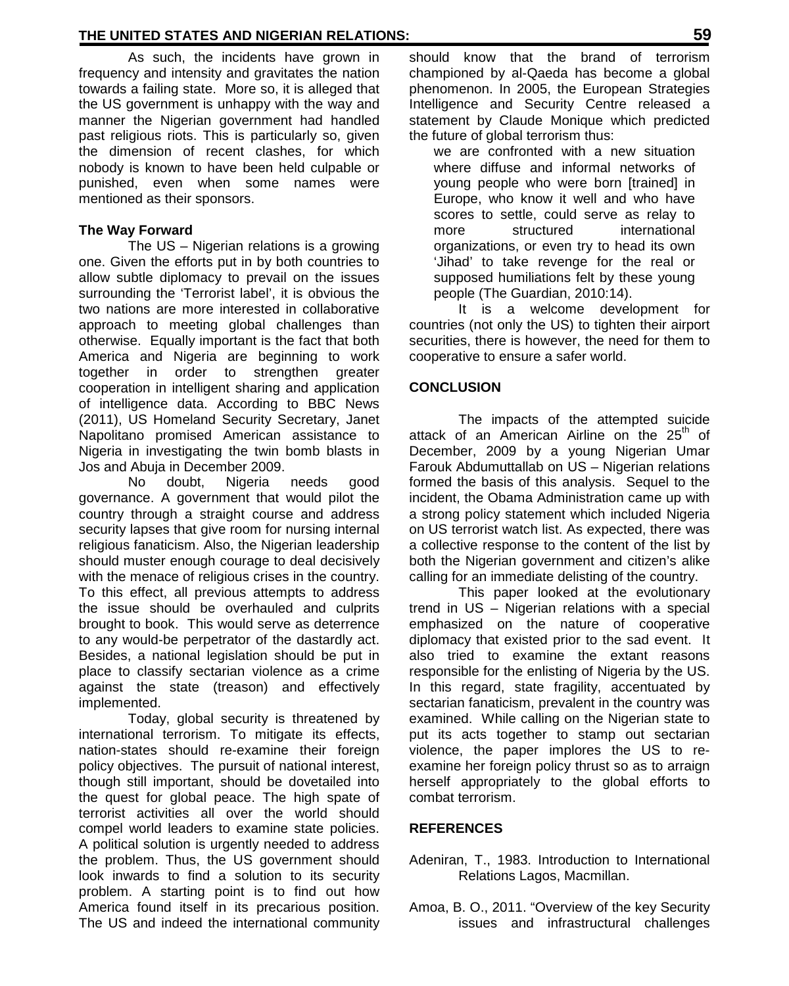As such, the incidents have grown in frequency and intensity and gravitates the nation towards a failing state. More so, it is alleged that the US government is unhappy with the way and manner the Nigerian government had handled past religious riots. This is particularly so, given the dimension of recent clashes, for which nobody is known to have been held culpable or punished, even when some names were mentioned as their sponsors.

#### **The Way Forward**

The US – Nigerian relations is a growing one. Given the efforts put in by both countries to allow subtle diplomacy to prevail on the issues surrounding the 'Terrorist label', it is obvious the two nations are more interested in collaborative approach to meeting global challenges than otherwise. Equally important is the fact that both America and Nigeria are beginning to work together in order to strengthen greater cooperation in intelligent sharing and application of intelligence data. According to BBC News (2011), US Homeland Security Secretary, Janet Napolitano promised American assistance to Nigeria in investigating the twin bomb blasts in Jos and Abuja in December 2009.

No doubt, Nigeria needs good governance. A government that would pilot the country through a straight course and address security lapses that give room for nursing internal religious fanaticism. Also, the Nigerian leadership should muster enough courage to deal decisively with the menace of religious crises in the country. To this effect, all previous attempts to address the issue should be overhauled and culprits brought to book. This would serve as deterrence to any would-be perpetrator of the dastardly act. Besides, a national legislation should be put in place to classify sectarian violence as a crime against the state (treason) and effectively implemented.

Today, global security is threatened by international terrorism. To mitigate its effects, nation-states should re-examine their foreign policy objectives. The pursuit of national interest, though still important, should be dovetailed into the quest for global peace. The high spate of terrorist activities all over the world should compel world leaders to examine state policies. A political solution is urgently needed to address the problem. Thus, the US government should look inwards to find a solution to its security problem. A starting point is to find out how America found itself in its precarious position. The US and indeed the international community

should know that the brand of terrorism championed by al-Qaeda has become a global phenomenon. In 2005, the European Strategies Intelligence and Security Centre released a statement by Claude Monique which predicted the future of global terrorism thus:

we are confronted with a new situation where diffuse and informal networks of young people who were born [trained] in Europe, who know it well and who have scores to settle, could serve as relay to more structured international organizations, or even try to head its own 'Jihad' to take revenge for the real or supposed humiliations felt by these young people (The Guardian, 2010:14).

It is a welcome development for countries (not only the US) to tighten their airport securities, there is however, the need for them to cooperative to ensure a safer world.

#### **CONCLUSION**

The impacts of the attempted suicide attack of an American Airline on the 25<sup>th</sup> of December, 2009 by a young Nigerian Umar Farouk Abdumuttallab on US – Nigerian relations formed the basis of this analysis. Sequel to the incident, the Obama Administration came up with a strong policy statement which included Nigeria on US terrorist watch list. As expected, there was a collective response to the content of the list by both the Nigerian government and citizen's alike calling for an immediate delisting of the country.

This paper looked at the evolutionary trend in US – Nigerian relations with a special emphasized on the nature of cooperative diplomacy that existed prior to the sad event. It also tried to examine the extant reasons responsible for the enlisting of Nigeria by the US. In this regard, state fragility, accentuated by sectarian fanaticism, prevalent in the country was examined. While calling on the Nigerian state to put its acts together to stamp out sectarian violence, the paper implores the US to re examine her foreign policy thrust so as to arraign herself appropriately to the global efforts to combat terrorism.

#### **REFERENCES**

- Adeniran, T., 1983. Introduction to International Relations Lagos, Macmillan.
- Amoa, B. O., 2011. "Overview of the key Security issues and infrastructural challenges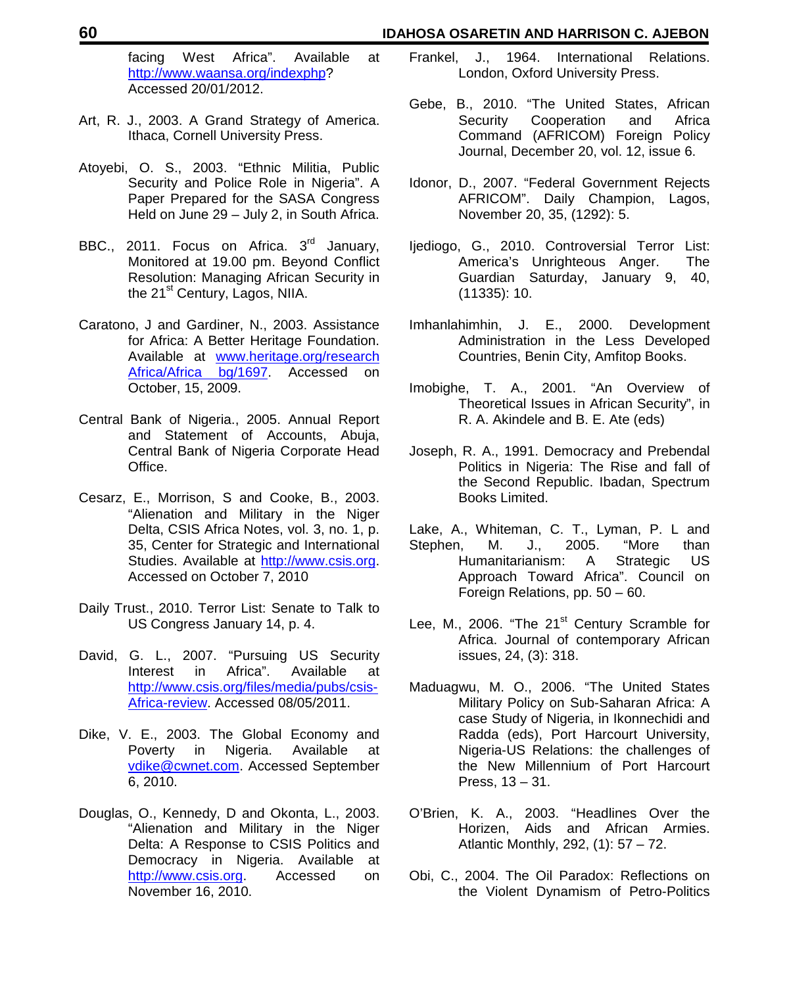#### **60 IDAHOSA OSARETIN AND HARRISON C. AJEBON**

facing West Africa". Available at http://www.waansa.org/indexphp? Accessed 20/01/2012.

- Art, R. J., 2003. A Grand Strategy of America. Ithaca, Cornell University Press.
- Atoyebi, O. S., 2003. "Ethnic Militia, Public Security and Police Role in Nigeria". A Paper Prepared for the SASA Congress Held on June 29 – July 2, in South Africa.
- BBC., 2011. Focus on Africa.  $3^{\text{rd}}$  January, Monitored at 19.00 pm. Beyond Conflict Resolution: Managing African Security in the 21<sup>st</sup> Century, Lagos, NIIA.
- Caratono, J and Gardiner, N., 2003. Assistance for Africa: A Better Heritage Foundation. Available at www.heritage.org/research Africa/Africa bg/1697. Accessed on October, 15, 2009.
- Central Bank of Nigeria., 2005. Annual Report and Statement of Accounts, Abuja, Central Bank of Nigeria Corporate Head Office.
- Cesarz, E., Morrison, S and Cooke, B., 2003. "Alienation and Military in the Niger Delta, CSIS Africa Notes, vol. 3, no. 1, p. 35, Center for Strategic and International Studies. Available at http://www.csis.org. Accessed on October 7, 2010
- Daily Trust., 2010. Terror List: Senate to Talk to US Congress January 14, p. 4.
- David, G. L., 2007. "Pursuing US Security Interest in Africa". Available at http://www.csis.org/files/media/pubs/csis- Africa-review. Accessed 08/05/2011.
- Dike, V. E., 2003. The Global Economy and Poverty in Nigeria. Available at vdike@cwnet.com. Accessed September 6, 2010.
- Douglas, O., Kennedy, D and Okonta, L., 2003. "Alienation and Military in the Niger Delta: A Response to CSIS Politics and Democracy in Nigeria. Available at http://www.csis.org. Accessed on November 16, 2010.
- Frankel, J., 1964. International Relations. London, Oxford University Press.
- Gebe, B., 2010. "The United States, African Security Cooperation and Africa Command (AFRICOM) Foreign Policy Journal, December 20, vol. 12, issue 6.
- Idonor, D., 2007. "Federal Government Rejects AFRICOM". Daily Champion, Lagos, November 20, 35, (1292): 5.
- Ijediogo, G., 2010. Controversial Terror List: America's Unrighteous Anger. The Guardian Saturday, January 9, 40, (11335): 10.
- Imhanlahimhin, J. E., 2000. Development Administration in the Less Developed Countries, Benin City, Amfitop Books.
- Imobighe, T. A., 2001. "An Overview of Theoretical Issues in African Security", in R. A. Akindele and B. E. Ate (eds)
- Joseph, R. A., 1991. Democracy and Prebendal Politics in Nigeria: The Rise and fall of the Second Republic. Ibadan, Spectrum Books Limited.
- Lake, A., Whiteman, C. T., Lyman, P. L and<br>Stephen, M. J., 2005. "More than Stephen, M. J., 2005. "More than Humanitarianism: A Strategic US Approach Toward Africa". Council on Foreign Relations, pp. 50 – 60.
- Lee, M., 2006. "The 21<sup>st</sup> Century Scramble for Africa. Journal of contemporary African issues, 24, (3): 318.
- Maduagwu, M. O., 2006. "The United States Military Policy on Sub-Saharan Africa: A case Study of Nigeria, in Ikonnechidi and Radda (eds), Port Harcourt University, Nigeria-US Relations: the challenges of the New Millennium of Port Harcourt Press, 13 – 31.
- O'Brien, K. A., 2003. "Headlines Over the Horizen, Aids and African Armies. Atlantic Monthly, 292, (1): 57 – 72.
- Obi, C., 2004. The Oil Paradox: Reflections on the Violent Dynamism of Petro-Politics